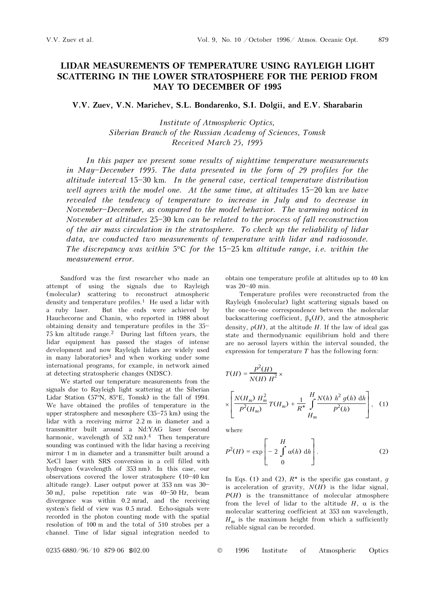## LIDAR MEASUREMENTS OF TEMPERATURE USING RAYLEIGH LIGHT SCATTERING IN THE LOWER STRATOSPHERE FOR THE PERIOD FROM MAY TO DECEMBER OF 1995

V.V. Zuev, V.N. Marichev, S.L. Bondarenko, S.I. Dolgii, and E.V. Sharabarin

Institute of Atmospheric Optics, Siberian Branch of the Russian Academy of Sciences, Tomsk Received March 25, 1995

In this paper we present some results of nighttime temperature measurements in May-December 1995. The data presented in the form of 29 profiles for the altitude interval  $15-30$  km. In the general case, vertical temperature distribution well agrees with the model one. At the same time, at altitudes  $15-20$  km we have revealed the tendency of temperature to increase in July and to decrease in November-December, as compared to the model behavior. The warming noticed in November at altitudes  $25-30$  km can be related to the process of fall reconstruction of the air mass circulation in the stratosphere. To check up the reliability of lidar data, we conducted two measurements of temperature with lidar and radiosonde.<br>The discrepancy was within 5°C for the 15–25 km altitude range, i.e. within the measurement error.

Sandford was the first researcher who made an attempt of using the signals due to Rayleigh (molecular) scattering to reconstruct atmospheric density and temperature profiles.<sup>1</sup> He used a lidar with a ruby laser. But the ends were achieved by Hauchecorne and Chanin, who reported in 1988 about obtaining density and temperature profiles in the 35-75 km altitude range.2 During last fifteen years, the lidar equipment has passed the stages of intense development and now Rayleigh lidars are widely used in many laboratories<sup>3</sup> and when working under some international programs, for example, in network aimed at detecting stratospheric changes (NDSC).

We started our temperature measurements from the signals due to Rayleigh light scattering at the Siberian Lidar Station (57°N, 85°E, Tomsk) in the fall of 1994. We have obtained the profiles of temperature in the upper stratosphere and mesosphere  $(35-75 \text{ km})$  using the lidar with a receiving mirror 2.2 m in diameter and a transmitter built around a Nd:YAG laser (second harmonic, wavelength of  $532$  nm).<sup>4</sup> Then temperature sounding was continued with the lidar having a receiving mirror 1 m in diameter and a transmitter built around a XeCl laser with SRS conversion in a cell filled with hydrogen (wavelength of 353 nm). In this case, our observations covered the lower stratosphere  $(10-40 \text{ km})$ altitude range). Laser output power at 353 nm was 30-50 mJ, pulse repetition rate was  $40-50$  Hz, beam divergence was within 0.2 mrad, and the receiving system's field of view was 0.5 mrad. Echo-signals were recorded in the photon counting mode with the spatial resolution of 100 m and the total of 510 strobes per a channel. Time of lidar signal integration needed to obtain one temperature profile at altitudes up to 40 km was 20-40 min.

Temperature profiles were reconstructed from the Rayleigh (molecular) light scattering signals based on the one-to-one correspondence between the molecular backscattering coefficient,  $\beta_{\pi}(H)$ , and the atmospheric density,  $\rho(H)$ , at the altitude H. If the law of ideal gas state and thermodynamic equilibrium hold and there are no aerosol layers within the interval sounded, the expression for temperature  $T$  has the following form:

$$
T(H) = \frac{P^{2}(H)}{N(H) H^{2}} \times
$$
  
 
$$
\times \left[ \frac{N(H_{m}) H_{m}^{2}}{P^{2}(H_{m})} T(H_{m}) + \frac{1}{R^{*}} \int_{H_{m}}^{H} \frac{N(h) h^{2} g(h) dh}{P^{2}(h)} \right], (1)
$$

where

$$
P^{2}(H) = \exp\left[-2\int_{0}^{H} \alpha(h) dh\right].
$$
 (2)

In Eqs. (1) and (2),  $R^*$  is the specific gas constant, q is acceleration of gravity,  $N(H)$  is the lidar signal,  $P(H)$  is the transmittance of molecular atmosphere from the level of lidar to the altitude  $H$ ,  $\alpha$  is the molecular scattering coefficient at 353 nm wavelength,  $H_m$  is the maximum height from which a sufficiently reliable signal can be recorded.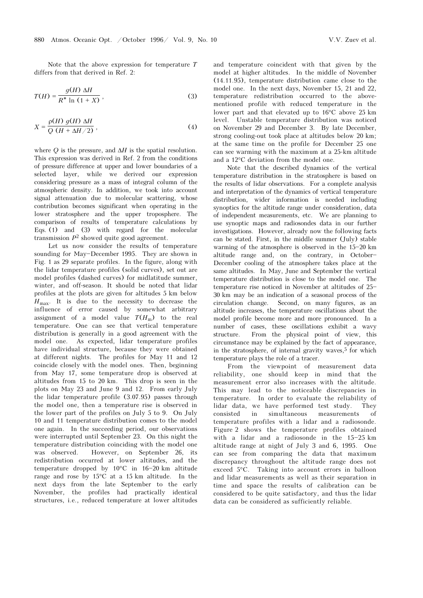Note that the above expression for temperature T differs from that derived in Ref. 2:

$$
T(H) = \frac{g(H) \Delta H}{R^* \ln (1+X)},
$$
\n(3)

$$
X = \frac{\rho(H) g(H) \Delta H}{Q (H + \Delta H / 2)},
$$
\n(4)

where Q is the pressure, and  $\Delta H$  is the spatial resolution. This expression was derived in Ref. 2 from the conditions of pressure difference at upper and lower boundaries of a selected layer, while we derived our expression considering pressure as a mass of integral column of the atmospheric density. In addition, we took into account signal attenuation due to molecular scattering, whose contribution becomes significant when operating in the lower stratosphere and the upper troposphere. The comparison of results of temperature calculations by Eqs. (1) and (3) with regard for the molecular transmission  $P^2$  showed quite good agreement.

Let us now consider the results of temperature sounding for May-December 1995. They are shown in Fig. 1 as 29 separate profiles. In the figure, along with the lidar temperature profiles (solid curves), set out are model profiles (dashed curves) for midlatitude summer, winter, and off-season. It should be noted that lidar profiles at the plots are given for altitudes 5 km below  $H_{\text{max}}$ . It is due to the necessity to decrease the influence of error caused by somewhat arbitrary assignment of a model value  $T(H_m)$  to the real temperature. One can see that vertical temperature distribution is generally in a good agreement with the model one. As expected, lidar temperature profiles have individual structure, because they were obtained at different nights. The profiles for May 11 and 12 coincide closely with the model ones. Then, beginning from May 17, some temperature drop is observed at altitudes from 15 to 20 km. This drop is seen in the plots on May 23 and June 9 and 12. From early July the lidar temperature profile (3.07.95) passes through the model one, then a temperature rise is observed in the lower part of the profiles on July 5 to 9. On July 10 and 11 temperature distribution comes to the model one again. In the succeeding period, our observations were interrupted until September 23. On this night the temperature distribution coinciding with the model one was observed. However, on September 26, its redistribution occurred at lower altitudes, and the temperature dropped by  $10^{\circ}$ C in  $16-20$  km altitude range and rose by 15°C at a 15 km altitude. In the next days from the late September to the early November, the profiles had practically identical structures, i.e., reduced temperature at lower altitudes

and temperature coincident with that given by the model at higher altitudes. In the middle of November (14.11.95), temperature distribution came close to the model one. In the next days, November 15, 21 and 22, temperature redistribution occurred to the abovementioned profile with reduced temperature in the lower part and that elevated up to 16°C above 25 km level. Unstable temperature distribution was noticed on November 29 and December 3. By late December, strong cooling-out took place at altitudes below 20 km; at the same time on the profile for December 25 one can see warming with the maximum at a 25-km altitude and a 12°C deviation from the model one.

Note that the described dynamics of the vertical temperature distribution in the stratosphere is based on the results of lidar observations. For a complete analysis and interpretation of the dynamics of vertical temperature distribution, wider information is needed including synoptics for the altitude range under consideration, data of independent measurements, etc. We are planning to use synoptic maps and radiosondes data in our further investigations. However, already now the following facts can be stated. First, in the middle summer (July) stable warming of the atmosphere is observed in the  $15-20$  km altitude range and, on the contrary, in October-December cooling of the atmosphere takes place at the same altitudes. In May, June and September the vertical temperature distribution is close to the model one. The temperature rise noticed in November at altitudes of  $25-$ 30 km may be an indication of a seasonal process of the circulation change. Second, on many figures, as an altitude increases, the temperature oscillations about the model profile become more and more pronounced. In a number of cases, these oscillations exhibit a wavy structure. From the physical point of view, this circumstance may be explained by the fact of appearance, in the stratosphere, of internal gravity waves,  $5$  for which temperature plays the role of a tracer.

From the viewpoint of measurement data reliability, one should keep in mind that the measurement error also increases with the altitude. This may lead to the noticeable discrepancies in temperature. In order to evaluate the reliability of lidar data, we have performed test study. They consisted in simultaneous measurements of temperature profiles with a lidar and a radiosonde. Figure 2 shows the temperature profiles obtained with a lidar and a radiosonde in the  $15-25$  km altitude range at night of July 3 and 6, 1995. One can see from comparing the data that maximum discrepancy throughout the altitude range does not exceed 5°C. Taking into account errors in balloon and lidar measurements as well as their separation in time and space the results of calibration can be considered to be quite satisfactory, and thus the lidar data can be considered as sufficiently reliable.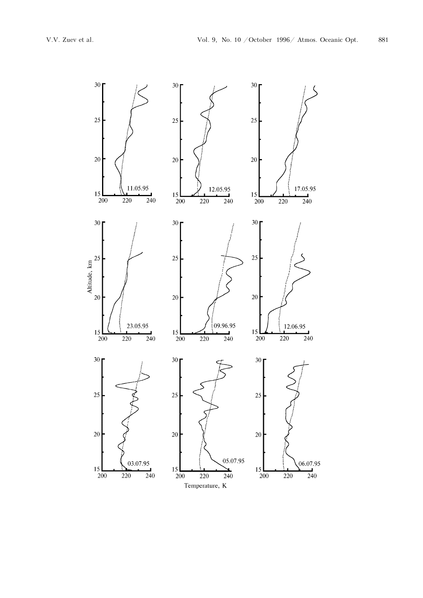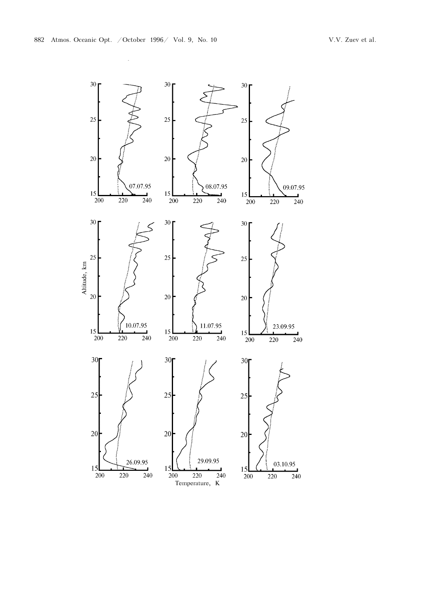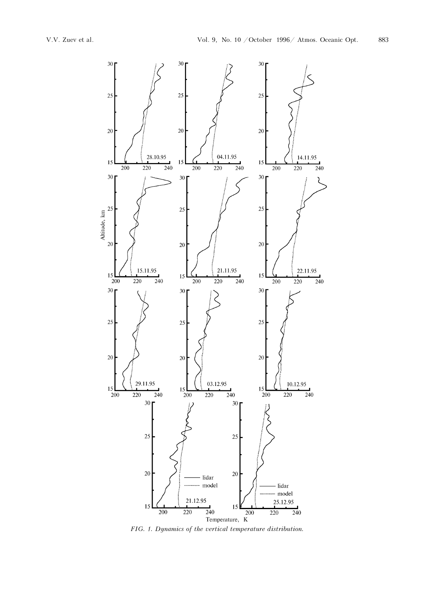

FIG. 1. Dynamics of the vertical temperature distribution.